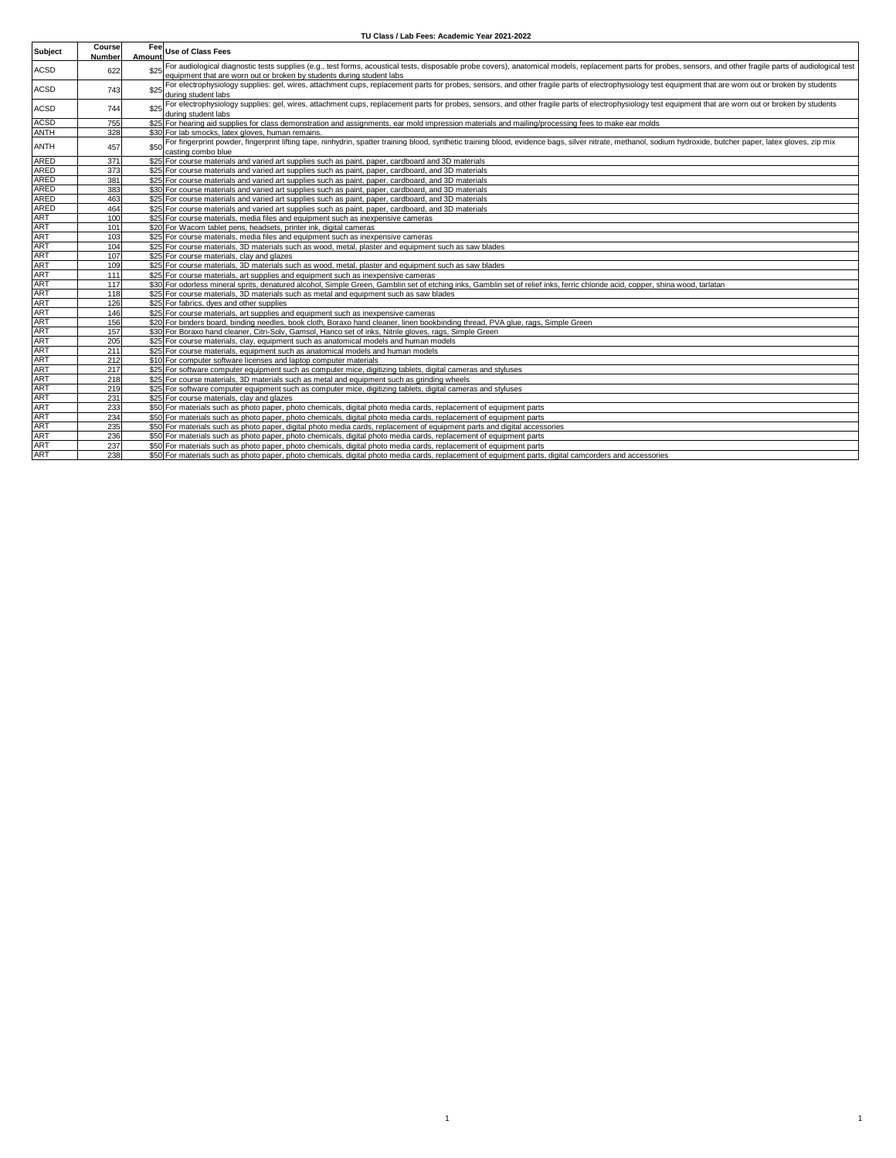## **TU Class / Lab Fees: Academic Year 2021-2022**

| <b>Subject</b> | Course<br><b>Number</b> | <b>Fee</b><br>Amount | <b>Use of Class Fees</b>                                                                                                                                                                                                             |
|----------------|-------------------------|----------------------|--------------------------------------------------------------------------------------------------------------------------------------------------------------------------------------------------------------------------------------|
| ACSD           | 622                     |                      | For audiological diagnostic tests supplies (e.g., test forms, acoustical tests, disposable probe covers), anatomical models, replacement parts for probes, sensors, and other fragile parts of audiological test                     |
|                |                         |                      | equipment that are worn out or broken by students during student labs                                                                                                                                                                |
| ACSD           | 743                     |                      | For electrophysiology supplies: gel, wires, attachment cups, replacement parts for probes, sensors, and other fragile parts of electrophysiology test equipment that are worn out or broken by students                              |
|                |                         |                      | during student labs                                                                                                                                                                                                                  |
| <b>ACSD</b>    | 744                     |                      | For electrophysiology supplies: gel, wires, attachment cups, replacement parts for probes, sensors, and other fragile parts of electrophysiology test equipment that are worn out or broken by students<br>during student labs       |
| <b>ACSD</b>    | 755                     |                      | \$25 For hearing aid supplies for class demonstration and assignments, ear mold impression materials and mailing/processing fees to make ear molds                                                                                   |
| <b>ANTH</b>    | 328                     |                      | \$30 For lab smocks, latex gloves, human remains.                                                                                                                                                                                    |
| <b>ANTH</b>    | 457                     |                      | For fingerprint powder, fingerprint lifting tape, ninhydrin, spatter training blood, synthetic training blood, evidence bags, silver nitrate, methanol, sodium hydroxide, butcher paper, latex gloves, zip mix<br>casting combo blue |
| <b>ARED</b>    | 371                     |                      | \$25 For course materials and varied art supplies such as paint, paper, cardboard and 3D materials                                                                                                                                   |
| <b>ARED</b>    | 373                     |                      | \$25 For course materials and varied art supplies such as paint, paper, cardboard, and 3D materials                                                                                                                                  |
| <b>ARED</b>    | 381                     |                      | \$25 For course materials and varied art supplies such as paint, paper, cardboard, and 3D materials                                                                                                                                  |
| <b>ARED</b>    | 383                     |                      | \$30 For course materials and varied art supplies such as paint, paper, cardboard, and 3D materials                                                                                                                                  |
| <b>ARED</b>    | 463                     |                      | \$25 For course materials and varied art supplies such as paint, paper, cardboard, and 3D materials                                                                                                                                  |
| <b>ARED</b>    | 464                     |                      | \$25 For course materials and varied art supplies such as paint, paper, cardboard, and 3D materials                                                                                                                                  |
| <b>ART</b>     | 100                     |                      | \$25 For course materials, media files and equipment such as inexpensive cameras                                                                                                                                                     |
| <b>ART</b>     | 101                     |                      | \$20 For Wacom tablet pens, headsets, printer ink, digital cameras                                                                                                                                                                   |
| <b>ART</b>     | 103                     |                      | \$25 For course materials, media files and equipment such as inexpensive cameras                                                                                                                                                     |
| <b>ART</b>     | 104                     |                      | \$25 For course materials, 3D materials such as wood, metal, plaster and equipment such as saw blades                                                                                                                                |
| <b>ART</b>     | 107                     |                      | \$25 For course materials, clay and glazes                                                                                                                                                                                           |
| <b>ART</b>     | 109                     |                      | \$25 For course materials, 3D materials such as wood, metal, plaster and equipment such as saw blades                                                                                                                                |
| <b>ART</b>     | 111                     |                      | \$25 For course materials, art supplies and equipment such as inexpensive cameras                                                                                                                                                    |
| <b>ART</b>     | 117                     |                      | \$30 For odorless mineral sprits, denatured alcohol, Simple Green, Gamblin set of etching inks, Gamblin set of relief inks, ferric chloride acid, copper, shina wood, tarlatan                                                       |
| <b>ART</b>     | 118                     |                      | \$25 For course materials, 3D materials such as metal and equipment such as saw blades                                                                                                                                               |
| <b>ART</b>     | 126                     |                      | \$25 For fabrics, dyes and other supplies                                                                                                                                                                                            |
| <b>ART</b>     | 146                     |                      | \$25 For course materials, art supplies and equipment such as inexpensive cameras                                                                                                                                                    |
| <b>ART</b>     | 156                     |                      | \$20 For binders board, binding needles, book cloth, Boraxo hand cleaner, linen bookbinding thread, PVA glue, rags, Simple Green                                                                                                     |
| <b>ART</b>     | 157                     |                      | \$30 For Boraxo hand cleaner, Citri-Solv, Gamsol, Hanco set of inks, Nitrile gloves, rags, Simple Green                                                                                                                              |
| <b>ART</b>     | 205                     |                      | \$25 For course materials, clay, equipment such as anatomical models and human models                                                                                                                                                |
| <b>ART</b>     | 211                     |                      | \$25 For course materials, equipment such as anatomical models and human models                                                                                                                                                      |
| <b>ART</b>     | 212                     |                      | \$10 For computer software licenses and laptop computer materials                                                                                                                                                                    |
| <b>ART</b>     | 217                     |                      | \$25 For software computer equipment such as computer mice, digitizing tablets, digital cameras and styluses                                                                                                                         |
| <b>ART</b>     | 218                     |                      | \$25 For course materials, 3D materials such as metal and equipment such as grinding wheels                                                                                                                                          |
| <b>ART</b>     | 219                     |                      | \$25 For software computer equipment such as computer mice, digitizing tablets, digital cameras and styluses                                                                                                                         |
| <b>ART</b>     | 231                     |                      | \$25 For course materials, clay and glazes                                                                                                                                                                                           |
| <b>ART</b>     | 233                     |                      | \$50 For materials such as photo paper, photo chemicals, digital photo media cards, replacement of equipment parts                                                                                                                   |
| <b>ART</b>     | 234                     |                      | \$50 For materials such as photo paper, photo chemicals, digital photo media cards, replacement of equipment parts                                                                                                                   |
| <b>ART</b>     | 235                     |                      | \$50 For materials such as photo paper, digital photo media cards, replacement of equipment parts and digital accessories                                                                                                            |
| <b>ART</b>     | 236                     |                      | \$50 For materials such as photo paper, photo chemicals, digital photo media cards, replacement of equipment parts                                                                                                                   |
| <b>ART</b>     | 237                     |                      | \$50 For materials such as photo paper, photo chemicals, digital photo media cards, replacement of equipment parts                                                                                                                   |
| <b>ART</b>     | 238                     |                      | \$50 For materials such as photo paper, photo chemicals, digital photo media cards, replacement of equipment parts, digital camcorders and accessories                                                                               |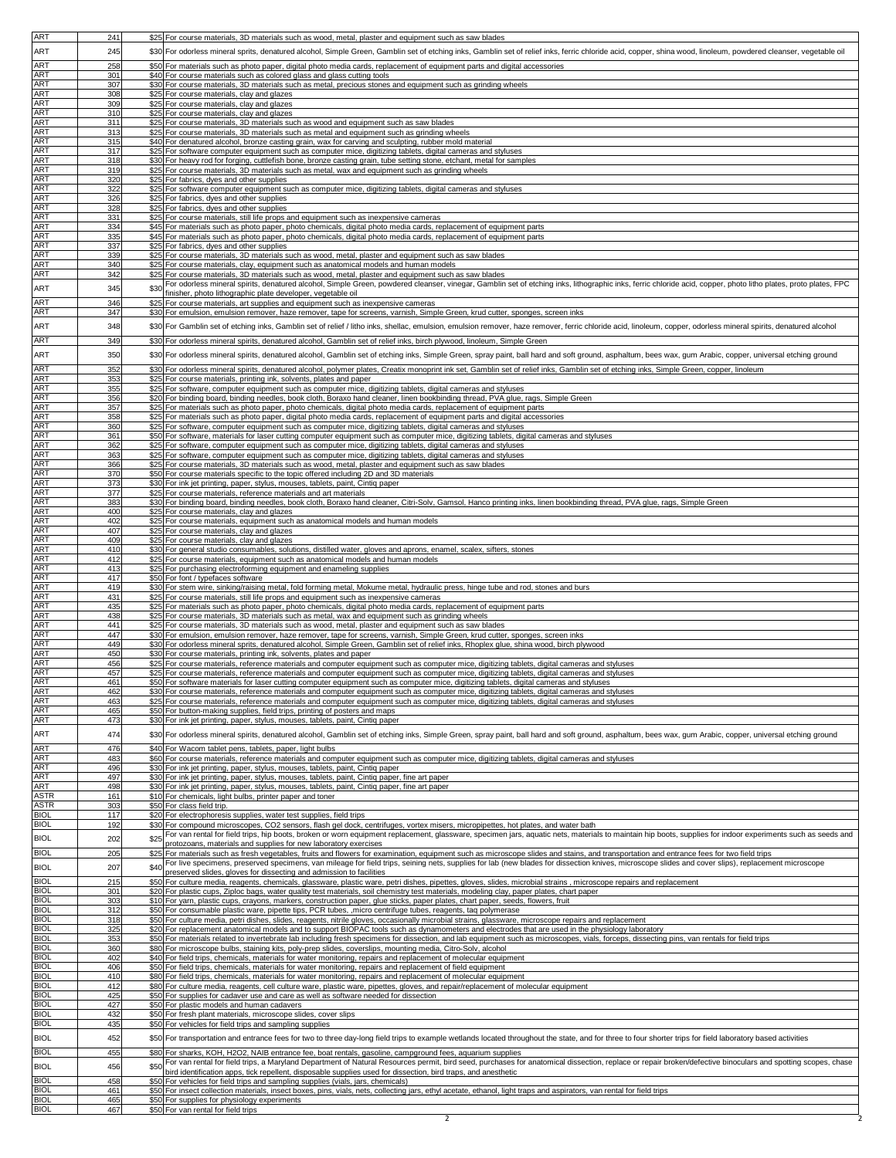| ART                        | 241        |      | \$25 For course materials, 3D materials such as wood, metal, plaster and equipment such as saw blades                                                                                                                                                                                                                                            |
|----------------------------|------------|------|--------------------------------------------------------------------------------------------------------------------------------------------------------------------------------------------------------------------------------------------------------------------------------------------------------------------------------------------------|
| ART                        | 245        |      | \$30 For odorless mineral sprits, denatured alcohol, Simple Green, Gamblin set of etching inks, Gamblin set of relief inks, ferric chloride acid, copper, shina wood, linoleum, powdered cleanser, vegetable oil                                                                                                                                 |
|                            |            |      |                                                                                                                                                                                                                                                                                                                                                  |
| <b>ART</b><br><b>ART</b>   | 258        |      | \$50 For materials such as photo paper, digital photo media cards, replacement of equipment parts and digital accessories                                                                                                                                                                                                                        |
| <b>ART</b>                 | 301<br>307 |      | \$40 For course materials such as colored glass and glass cutting tools<br>\$30 For course materials, 3D materials such as metal, precious stones and equipment such as grinding wheels                                                                                                                                                          |
| ART                        | 308        |      | \$25 For course materials, clay and glazes                                                                                                                                                                                                                                                                                                       |
| <b>ART</b>                 | 309        |      | \$25 For course materials, clay and glazes                                                                                                                                                                                                                                                                                                       |
| ART                        | 310        |      | \$25 For course materials, clay and glazes                                                                                                                                                                                                                                                                                                       |
| <b>ART</b><br>ART          | 311<br>313 |      | \$25 For course materials, 3D materials such as wood and equipment such as saw blades<br>\$25 For course materials, 3D materials such as metal and equipment such as grinding wheels                                                                                                                                                             |
| ART                        | 315        |      | \$40 For denatured alcohol, bronze casting grain, wax for carving and sculpting, rubber mold material                                                                                                                                                                                                                                            |
| ART                        | 317        |      | \$25 For software computer equipment such as computer mice, digitizing tablets, digital cameras and styluses                                                                                                                                                                                                                                     |
| ART                        | 318        |      | \$30 For heavy rod for forging, cuttlefish bone, bronze casting grain, tube setting stone, etchant, metal for samples                                                                                                                                                                                                                            |
| <b>ART</b>                 | 319        | \$25 | For course materials, 3D materials such as metal, wax and equipment such as grinding wheels                                                                                                                                                                                                                                                      |
| ART<br>ART                 | 320<br>322 |      | \$25 For fabrics, dyes and other supplies<br>\$25 For software computer equipment such as computer mice, digitizing tablets, digital cameras and styluses                                                                                                                                                                                        |
| ART                        | 326        |      | \$25 For fabrics, dyes and other supplies                                                                                                                                                                                                                                                                                                        |
| ART                        | 328        |      | \$25 For fabrics, dyes and other supplies                                                                                                                                                                                                                                                                                                        |
| ART<br>ART                 | 331<br>334 |      | \$25 For course materials, still life props and equipment such as inexpensive cameras<br>\$45 For materials such as photo paper, photo chemicals, digital photo media cards, replacement of equipment parts                                                                                                                                      |
| ART                        | 335        |      | \$45 For materials such as photo paper, photo chemicals, digital photo media cards, replacement of equipment parts                                                                                                                                                                                                                               |
| ART                        | 337        |      | \$25 For fabrics, dyes and other supplies                                                                                                                                                                                                                                                                                                        |
| ART<br><b>ART</b>          | 339        |      | \$25 For course materials, 3D materials such as wood, metal, plaster and equipment such as saw blades                                                                                                                                                                                                                                            |
| ART                        | 340<br>342 |      | \$25 For course materials, clay, equipment such as anatomical models and human models<br>\$25 For course materials, 3D materials such as wood, metal, plaster and equipment such as saw blades                                                                                                                                                   |
| ART                        | 345        |      | For odorless mineral spirits, denatured alcohol, Simple Green, powdered cleanser, vinegar, Gamblin set of etching inks, lithographic inks, ferric chloride acid, copper, photo litho plates, proto plates, FPC                                                                                                                                   |
|                            |            | \$30 | finisher, photo lithographic plate developer, vegetable oil                                                                                                                                                                                                                                                                                      |
| ART<br>ART                 | 346<br>347 | \$25 | For course materials, art supplies and equipment such as inexpensive cameras                                                                                                                                                                                                                                                                     |
|                            |            |      | \$30 For emulsion, emulsion remover, haze remover, tape for screens, varnish, Simple Green, krud cutter, sponges, screen inks                                                                                                                                                                                                                    |
| ART                        | 348        |      | \$30 For Gamblin set of etching inks, Gamblin set of relief / litho inks, shellac, emulsion, emulsion remover, haze remover, ferric chloride acid, linoleum, copper, odorless mineral spirits, denatured alcohol                                                                                                                                 |
| ART                        | 349        |      | \$30 For odorless mineral spirits, denatured alcohol, Gamblin set of relief inks, birch plywood, linoleum, Simple Green                                                                                                                                                                                                                          |
| ART                        | 350        |      | \$30 For odorless mineral spirits, denatured alcohol, Gamblin set of etching inks, Simple Green, spray paint, ball hard and soft ground, asphaltum, bees wax, gum Arabic, copper, universal etching ground                                                                                                                                       |
| ART                        | 352        |      | \$30 For odorless mineral spirits, denatured alcohol, polymer plates, Creatix monoprint ink set, Gamblin set of relief inks, Gamblin set of etching inks, Simple Green, copper, linoleum                                                                                                                                                         |
| ART                        | 353        |      | \$25 For course materials, printing ink, solvents, plates and paper                                                                                                                                                                                                                                                                              |
| ART                        | 355        |      | \$25 For software, computer equipment such as computer mice, digitizing tablets, digital cameras and styluses                                                                                                                                                                                                                                    |
| ART<br><b>ART</b>          | 356        |      | \$20 For binding board, binding needles, book cloth, Boraxo hand cleaner, linen bookbinding thread, PVA glue, rags, Simple Green                                                                                                                                                                                                                 |
| ART                        | 357<br>358 |      | \$25 For materials such as photo paper, photo chemicals, digital photo media cards, replacement of equipment parts<br>\$25 For materials such as photo paper, digital photo media cards, replacement of equipment parts and digital accessories                                                                                                  |
| <b>ART</b>                 | 360        |      | \$25 For software, computer equipment such as computer mice, digitizing tablets, digital cameras and styluses                                                                                                                                                                                                                                    |
| <b>ART</b>                 | 361        |      | \$50 For software, materials for laser cutting computer equipment such as computer mice, digitizing tablets, digital cameras and styluses                                                                                                                                                                                                        |
| ART                        | 362        |      | \$25 For software, computer equipment such as computer mice, digitizing tablets, digital cameras and styluses                                                                                                                                                                                                                                    |
| ART<br><b>ART</b>          | 363<br>366 |      | \$25 For software, computer equipment such as computer mice, digitizing tablets, digital cameras and styluses<br>\$25 For course materials, 3D materials such as wood, metal, plaster and equipment such as saw blades                                                                                                                           |
| <b>ART</b>                 | 370        |      | \$50 For course materials specific to the topic offered including 2D and 3D materials                                                                                                                                                                                                                                                            |
| ART                        | 373        |      | \$30 For ink jet printing, paper, stylus, mouses, tablets, paint, Cintiq paper                                                                                                                                                                                                                                                                   |
| <b>ART</b>                 | 377        |      | \$25 For course materials, reference materials and art materials                                                                                                                                                                                                                                                                                 |
| <b>ART</b>                 | 383        |      | \$30 For binding board, binding needles, book cloth, Boraxo hand cleaner, Citri-Solv, Gamsol, Hanco printing inks, linen bookbinding thread, PVA glue, rags, Simple Green                                                                                                                                                                        |
| ART<br>ART                 | 400        |      | \$25 For course materials, clay and glazes                                                                                                                                                                                                                                                                                                       |
| ART                        | 402<br>407 | \$25 | For course materials, equipment such as anatomical models and human models<br>\$25 For course materials, clay and glazes                                                                                                                                                                                                                         |
| <b>ART</b>                 | 409        |      | \$25 For course materials, clay and glazes                                                                                                                                                                                                                                                                                                       |
| <b>ART</b>                 | 410        |      | \$30 For general studio consumables, solutions, distilled water, gloves and aprons, enamel, scalex, sifters, stones                                                                                                                                                                                                                              |
| <b>ART</b>                 | 412        |      | \$25 For course materials, equipment such as anatomical models and human models                                                                                                                                                                                                                                                                  |
| ART                        | 413        |      | \$25 For purchasing electroforming equipment and enameling supplies                                                                                                                                                                                                                                                                              |
|                            |            |      |                                                                                                                                                                                                                                                                                                                                                  |
| ART                        | 417        |      | \$50 For font / typefaces software                                                                                                                                                                                                                                                                                                               |
| ART                        | 419<br>431 |      | \$30 For stem wire, sinking/raising metal, fold forming metal, Mokume metal, hydraulic press, hinge tube and rod, stones and burs<br>\$25 For course materials, still life props and equipment such as inexpensive cameras                                                                                                                       |
| <b>ART</b><br><b>ART</b>   | 435        |      | \$25 For materials such as photo paper, photo chemicals, digital photo media cards, replacement of equipment parts                                                                                                                                                                                                                               |
| ART                        | 438        |      | \$25 For course materials, 3D materials such as metal, wax and equipment such as grinding wheels                                                                                                                                                                                                                                                 |
| ART                        | 441        |      | \$25 For course materials, 3D materials such as wood, metal, plaster and equipment such as saw blades                                                                                                                                                                                                                                            |
| ART<br><b>ART</b>          | 447<br>449 |      | \$30 For emulsion, emulsion remover, haze remover, tape for screens, varnish, Simple Green, krud cutter, sponges, screen inks                                                                                                                                                                                                                    |
| ART                        | 450        |      | \$30 For odorless mineral sprits, denatured alcohol, Simple Green, Gamblin set of relief inks, Rhoplex glue, shina wood, birch plywood<br>\$30 For course materials, printing ink, solvents, plates and paper                                                                                                                                    |
| ART                        | 456        |      | \$25 For course materials, reference materials and computer equipment such as computer mice, digitizing tablets, digital cameras and styluses                                                                                                                                                                                                    |
| ART                        | 457        |      | \$25 For course materials, reference materials and computer equipment such as computer mice, digitizing tablets, digital cameras and styluses                                                                                                                                                                                                    |
| ART                        | 461        |      | \$50 For software materials for laser cutting computer equipment such as computer mice, digitizing tablets, digital cameras and styluses                                                                                                                                                                                                         |
|                            | 462<br>463 | \$25 | \$30 For course materials, reference materials and computer equipment such as computer mice, digitizing tablets, digital cameras and styluses<br>For course materials, reference materials and computer equipment such as computer mice, digitizing tablets, digital cameras and styluses                                                        |
| ART                        | 465        |      | \$50 For button-making supplies, field trips, printing of posters and maps                                                                                                                                                                                                                                                                       |
| <b>ART</b>                 | 473        |      | \$30 For ink jet printing, paper, stylus, mouses, tablets, paint, Cintiq paper                                                                                                                                                                                                                                                                   |
| ART<br>ART<br>ART          | 474        |      | \$30 For odorless mineral spirits, denatured alcohol, Gamblin set of etching inks, Simple Green, spray paint, ball hard and soft ground, asphaltum, bees wax, qum Arabic, copper, universal etching ground                                                                                                                                       |
| ART                        | 476        | \$40 | For Wacom tablet pens, tablets, paper, light bulbs                                                                                                                                                                                                                                                                                               |
| ART                        | 483        |      | \$60 For course materials, reference materials and computer equipment such as computer mice, digitizing tablets, digital cameras and styluses                                                                                                                                                                                                    |
| ART                        | 496        |      | \$30 For ink jet printing, paper, stylus, mouses, tablets, paint, Cintig paper                                                                                                                                                                                                                                                                   |
| ART<br>ART                 | 497<br>498 |      | \$30 For ink jet printing, paper, stylus, mouses, tablets, paint, Cintiq paper, fine art paper<br>\$30 For ink jet printing, paper, stylus, mouses, tablets, paint, Cintiq paper, fine art paper                                                                                                                                                 |
| <b>ASTR</b>                | 161        |      | \$10 For chemicals, light bulbs, printer paper and toner                                                                                                                                                                                                                                                                                         |
| <b>ASTR</b>                | 303        |      | \$50 For class field trip.                                                                                                                                                                                                                                                                                                                       |
| <b>BIOL</b>                | 117        |      | \$20 For electrophoresis supplies, water test supplies, field trips                                                                                                                                                                                                                                                                              |
| <b>BIOL</b>                | 192        |      | \$30 For compound microscopes, CO2 sensors, flash gel dock, centrifuges, vortex misers, micropipettes, hot plates, and water bath<br>For van rental for field trips, hip boots, broken or worn equipment replacement, glassware, specimen jars, aquatic nets, materials to maintain hip boots, supplies for indoor experiments such as seeds and |
| <b>BIOL</b>                | 202        | \$25 | protozoans, materials and supplies for new laboratory exercises                                                                                                                                                                                                                                                                                  |
| <b>BIOL</b>                | 205        | \$25 | For materials such as fresh vegetables, fruits and flowers for examination, equipment such as microscope slides and stains, and transportation and entrance fees for two field trips                                                                                                                                                             |
| <b>BIOL</b>                | 207        | \$40 | For live specimens, preserved specimens, van mileage for field trips, seining nets, supplies for lab (new blades for dissection knives, microscope slides and cover slips), replacement microscope<br>preserved slides, gloves for dissecting and admission to facilities                                                                        |
| <b>BIOL</b>                | 215        |      | \$50 For culture media, reagents, chemicals, glassware, plastic ware, petri dishes, pipettes, gloves, slides, microbial strains, microscope repairs and replacement                                                                                                                                                                              |
| <b>BIOL</b>                | 301        |      | \$20 For plastic cups, Ziploc bags, water quality test materials, soil chemistry test materials, modeling clay, paper plates, chart paper                                                                                                                                                                                                        |
| <b>BIOL</b>                | 303        |      | \$10 For yarn, plastic cups, crayons, markers, construction paper, glue sticks, paper plates, chart paper, seeds, flowers, fruit                                                                                                                                                                                                                 |
| <b>BIOL</b>                | 312<br>318 |      | \$50 For consumable plastic ware, pipette tips, PCR tubes, , micro centrifuge tubes, reagents, tag polymerase                                                                                                                                                                                                                                    |
| <b>BIOL</b>                | 325        |      | \$50 For culture media, petri dishes, slides, reagents, nitrile gloves, occasionally microbial strains, glassware, microscope repairs and replacement<br>\$20 For replacement anatomical models and to support BIOPAC tools such as dynamometers and electrodes that are used in the physiology laboratory                                       |
| BIOL<br>BIOL               | 353        |      | \$50 For materials related to invertebrate lab including fresh specimens for dissection, and lab equipment such as microscopes, vials, forceps, dissecting pins, van rentals for field trips                                                                                                                                                     |
| <b>BIOL</b>                | 360        |      | \$80 For microscope bulbs, staining kits, poly-prep slides, coverslips, mounting media, Citro-Solv, alcohol                                                                                                                                                                                                                                      |
| <b>BIOL</b><br><b>BIOL</b> | 402<br>406 |      | \$40 For field trips, chemicals, materials for water monitoring, repairs and replacement of molecular equipment                                                                                                                                                                                                                                  |
| <b>BIOL</b>                | 410        |      | \$50 For field trips, chemicals, materials for water monitoring, repairs and replacement of field equipment<br>\$80 For field trips, chemicals, materials for water monitoring, repairs and replacement of molecular equipment                                                                                                                   |
| <b>BIOL</b>                | 412        |      | \$80 For culture media, reagents, cell culture ware, plastic ware, pipettes, gloves, and repair/replacement of molecular equipment                                                                                                                                                                                                               |
| <b>BIOL</b>                | 425        |      | \$50 For supplies for cadaver use and care as well as software needed for dissection                                                                                                                                                                                                                                                             |
| <b>BIOL</b><br><b>BIOL</b> | 427        |      | \$50 For plastic models and human cadavers                                                                                                                                                                                                                                                                                                       |
| <b>BIOL</b>                | 432<br>435 |      | \$50 For fresh plant materials, microscope slides, cover slips<br>\$50 For vehicles for field trips and sampling supplies                                                                                                                                                                                                                        |
| <b>BIOL</b>                |            |      |                                                                                                                                                                                                                                                                                                                                                  |
|                            | 452        |      | \$50 For transportation and entrance fees for two to three day-long field trips to example wetlands located throughout the state, and for three to four shorter trips for field laboratory based activities                                                                                                                                      |
| <b>BIOL</b>                | 455        |      | \$80 For sharks, KOH, H2O2, NAIB entrance fee, boat rentals, gasoline, campground fees, aquarium supplies                                                                                                                                                                                                                                        |
| <b>BIOL</b>                | 456        | \$50 | For van rental for field trips, a Maryland Department of Natural Resources permit, bird seed, purchases for anatomical dissection, replace or repair broken/defective binoculars and spotting scopes, chase<br>bird identification apps, tick repellent, disposable supplies used for dissection, bird traps, and anesthetic                     |
| <b>BIOL</b>                | 458        |      | \$50 For vehicles for field trips and sampling supplies (vials, jars, chemicals)                                                                                                                                                                                                                                                                 |
| <b>BIOL</b><br><b>BIOL</b> | 461<br>465 |      | \$50 For insect collection materials, insect boxes, pins, vials, nets, collecting jars, ethyl acetate, ethanol, light traps and aspirators, van rental for field trips<br>\$50 For supplies for physiology experiments                                                                                                                           |

2  $\sim$  2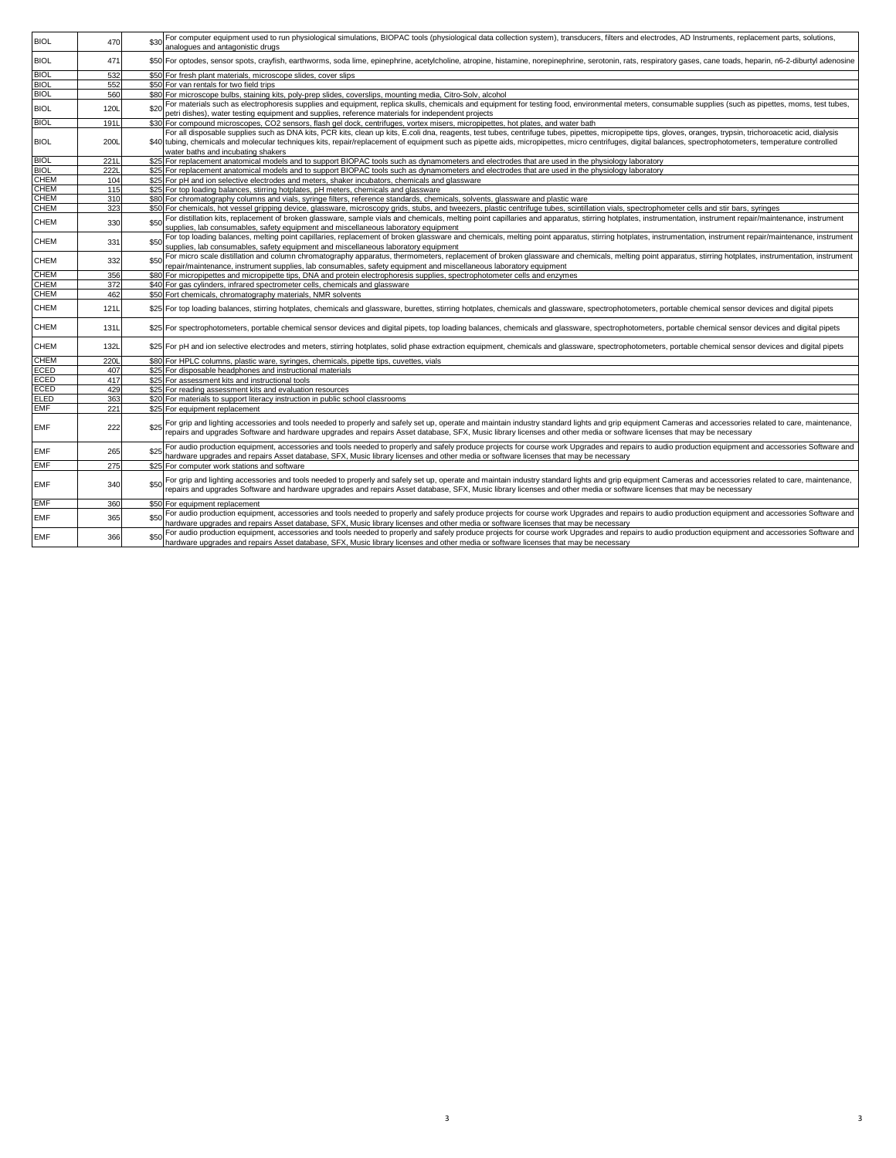| <b>BIOL</b> | 470         |      | For computer equipment used to run physiological simulations, BIOPAC tools (physiological data collection system), transducers, filters and electrodes, AD Instruments, replacement parts, solutions,<br>analogues and antagonistic drugs                                                                                                                                                                                                                           |
|-------------|-------------|------|---------------------------------------------------------------------------------------------------------------------------------------------------------------------------------------------------------------------------------------------------------------------------------------------------------------------------------------------------------------------------------------------------------------------------------------------------------------------|
| <b>BIOL</b> | 471         |      | \$50 For optodes, sensor spots, crayfish, earthworms, soda lime, epinephrine, acetylcholine, atropine, histamine, norepinephrine, serotonin, rats, respiratory gases, cane toads, heparin, n6-2-diburtyl adenosine                                                                                                                                                                                                                                                  |
| <b>BIOL</b> | 532         |      | \$50 For fresh plant materials, microscope slides, cover slips                                                                                                                                                                                                                                                                                                                                                                                                      |
| <b>BIOL</b> | 552         |      | \$50 For van rentals for two field trips                                                                                                                                                                                                                                                                                                                                                                                                                            |
| <b>BIOL</b> | 560         |      | \$80 For microscope bulbs, staining kits, poly-prep slides, coverslips, mounting media, Citro-Solv, alcohol                                                                                                                                                                                                                                                                                                                                                         |
| <b>BIOL</b> | 120L        | \$20 | For materials such as electrophoresis supplies and equipment, replica skulls, chemicals and equipment for testing food, environmental meters, consumable supplies (such as pipettes, moms, test tubes,<br>petri dishes), water testing equipment and supplies, reference materials for independent projects                                                                                                                                                         |
| <b>BIOL</b> | 191L        |      | \$30 For compound microscopes, CO2 sensors, flash gel dock, centrifuges, vortex misers, micropipettes, hot plates, and water bath                                                                                                                                                                                                                                                                                                                                   |
| <b>BIOL</b> | 200L        |      | For all disposable supplies such as DNA kits, PCR kits, clean up kits, E.coli dna, reagents, test tubes, centrifuge tubes, pipettes, micropipette tips, gloves, oranges, trypsin, trichoroacetic acid, dialysis<br>\$40 tubing, chemicals and molecular techniques kits, repair/replacement of equipment such as pipette aids, micropipettes, micro centrifuges, digital balances, spectrophotometers, temperature controlled<br>water baths and incubating shakers |
| <b>BIOL</b> | 2211        |      | \$25 For replacement anatomical models and to support BIOPAC tools such as dynamometers and electrodes that are used in the physiology laboratory                                                                                                                                                                                                                                                                                                                   |
| <b>BIOL</b> | 2221        |      | \$25 For replacement anatomical models and to support BIOPAC tools such as dynamometers and electrodes that are used in the physiology laboratory                                                                                                                                                                                                                                                                                                                   |
| <b>CHEM</b> | 104         |      | \$25 For pH and ion selective electrodes and meters, shaker incubators, chemicals and glassware                                                                                                                                                                                                                                                                                                                                                                     |
| CHEM        | 115         |      | \$25 For top loading balances, stirring hotplates, pH meters, chemicals and glassware                                                                                                                                                                                                                                                                                                                                                                               |
| <b>CHEM</b> | 310         |      | \$80 For chromatography columns and vials, syringe filters, reference standards, chemicals, solvents, glassware and plastic ware                                                                                                                                                                                                                                                                                                                                    |
| <b>CHEM</b> | 323         |      | \$50 For chemicals, hot vessel gripping device, glassware, microscopy grids, stubs, and tweezers, plastic centrifuge tubes, scintillation vials, spectrophometer cells and stir bars, syringes                                                                                                                                                                                                                                                                      |
| CHEM        | 330         | \$50 | For distillation kits, replacement of broken glassware, sample vials and chemicals, melting point capillaries and apparatus, stirring hotplates, instrumentation, instrument repair/maintenance, instrument<br>supplies, lab consumables, safety equipment and miscellaneous laboratory equipment                                                                                                                                                                   |
| CHEM        | 331         |      | For top loading balances, melting point capillaries, replacement of broken glassware and chemicals, melting point apparatus, stirring hotplates, instrumentation, instrument repair/maintenance, instrument<br>supplies, lab consumables, safety equipment and miscellaneous laboratory equipment                                                                                                                                                                   |
| <b>CHEM</b> | 332         | \$50 | For micro scale distillation and column chromatography apparatus, thermometers, replacement of broken glassware and chemicals, melting point apparatus, stirring hotplates, instrumentation, instrument<br>repair/maintenance, instrument supplies, lab consumables, safety equipment and miscellaneous laboratory equipment                                                                                                                                        |
| CHEM        | 356         |      | \$80 For micropipettes and micropipette tips, DNA and protein electrophoresis supplies, spectrophotometer cells and enzymes                                                                                                                                                                                                                                                                                                                                         |
| CHEM        | 372         |      | \$40 For gas cylinders, infrared spectrometer cells, chemicals and glassware                                                                                                                                                                                                                                                                                                                                                                                        |
| CHEM        | 462         |      | \$50 Fort chemicals, chromatography materials, NMR solvents                                                                                                                                                                                                                                                                                                                                                                                                         |
| CHEM        | 121L        |      | \$25 For top loading balances, stirring hotplates, chemicals and glassware, burettes, stirring hotplates, chemicals and glassware, spectrophotometers, portable chemical sensor devices and digital pipets                                                                                                                                                                                                                                                          |
| CHEM        | <b>131L</b> |      | \$25 For spectrophotometers, portable chemical sensor devices and digital pipets, top loading balances, chemicals and glassware, spectrophotometers, portable chemical sensor devices and digital pipets                                                                                                                                                                                                                                                            |
| CHEM        | <b>132L</b> |      | \$25 For pH and ion selective electrodes and meters, stirring hotplates, solid phase extraction equipment, chemicals and glassware, spectrophotometers, portable chemical sensor devices and digital pipets                                                                                                                                                                                                                                                         |
| <b>CHEM</b> | 2201        |      | \$80 For HPLC columns, plastic ware, syringes, chemicals, pipette tips, cuvettes, vials                                                                                                                                                                                                                                                                                                                                                                             |
| ECED        | 407         |      | \$25 For disposable headphones and instructional materials                                                                                                                                                                                                                                                                                                                                                                                                          |
| ECED        | 417         |      | \$25 For assessment kits and instructional tools                                                                                                                                                                                                                                                                                                                                                                                                                    |
| ECED        | 429         |      | \$25 For reading assessment kits and evaluation resources                                                                                                                                                                                                                                                                                                                                                                                                           |
| ELED        | 363         |      | \$20 For materials to support literacy instruction in public school classrooms                                                                                                                                                                                                                                                                                                                                                                                      |
| <b>EMF</b>  | 221         |      | \$25 For equipment replacement                                                                                                                                                                                                                                                                                                                                                                                                                                      |
| <b>EMF</b>  | 222         | \$25 | For grip and lighting accessories and tools needed to properly and safely set up, operate and maintain industry standard lights and grip equipment Cameras and accessories related to care, maintenance,<br>repairs and upgrades Software and hardware upgrades and repairs Asset database, SFX, Music library licenses and other media or software licenses that may be necessary                                                                                  |
| EMF         | 265         |      | For audio production equipment, accessories and tools needed to properly and safely produce projects for course work Upgrades and repairs to audio production equipment and accessories Software and<br>hardware upgrades and repairs Asset database, SFX, Music library licenses and other media or software licenses that may be necessary                                                                                                                        |
| EMF         | 275         |      | \$25 For computer work stations and software                                                                                                                                                                                                                                                                                                                                                                                                                        |
| EMF         | 340         |      | For grip and lighting accessories and tools needed to properly and safely set up, operate and maintain industry standard lights and grip equipment Cameras and accessories related to care, maintenance,<br>repairs and upgrades Software and hardware upgrades and repairs Asset database, SFX, Music library licenses and other media or software licenses that may be necessary                                                                                  |
| EMF         | 360         |      | \$50 For equipment replacement                                                                                                                                                                                                                                                                                                                                                                                                                                      |
| EMF         | 365         |      | For audio production equipment, accessories and tools needed to properly and safely produce projects for course work Upgrades and repairs to audio production equipment and accessories Software and<br>hardware upgrades and repairs Asset database, SFX, Music library licenses and other media or software licenses that may be necessary                                                                                                                        |
| <b>EMF</b>  | 366         |      | For audio production equipment, accessories and tools needed to properly and safely produce projects for course work Upgrades and repairs to audio production equipment and accessories Software and<br>hardware upgrades and repairs Asset database, SFX, Music library licenses and other media or software licenses that may be necessary                                                                                                                        |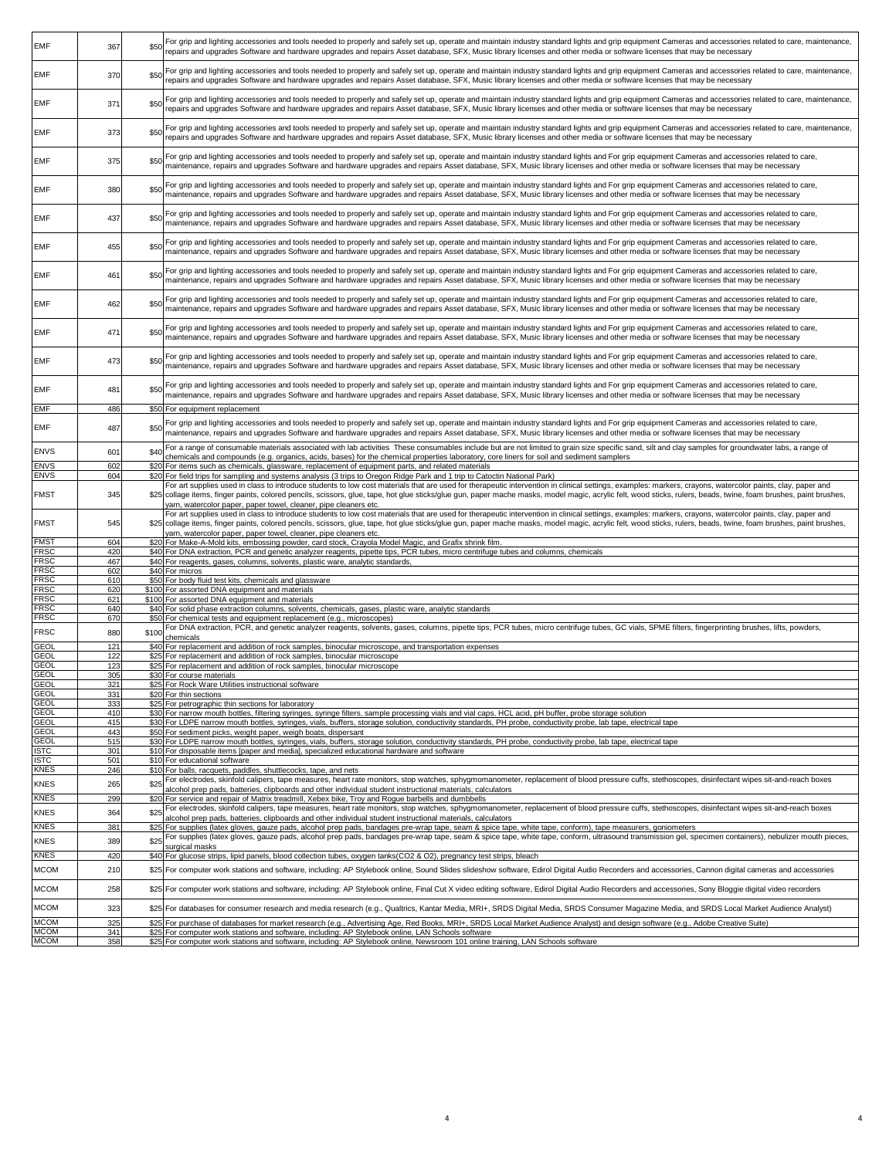| <b>EMF</b>                 | 367             | \$50  | For grip and lighting accessories and tools needed to properly and safely set up, operate and maintain industry standard lights and grip equipment Cameras and accessories related to care, maintenance,<br>repairs and upgrades Software and hardware upgrades and repairs Asset database, SFX, Music library licenses and other media or software licenses that may be necessary     |
|----------------------------|-----------------|-------|----------------------------------------------------------------------------------------------------------------------------------------------------------------------------------------------------------------------------------------------------------------------------------------------------------------------------------------------------------------------------------------|
|                            |                 |       |                                                                                                                                                                                                                                                                                                                                                                                        |
| <b>EMF</b>                 | 370             | \$50  | For grip and lighting accessories and tools needed to properly and safely set up, operate and maintain industry standard lights and grip equipment Cameras and accessories related to care, maintenance,                                                                                                                                                                               |
|                            |                 |       | repairs and upgrades Software and hardware upgrades and repairs Asset database, SFX, Music library licenses and other media or software licenses that may be necessary                                                                                                                                                                                                                 |
| <b>EMF</b>                 | 371             | \$50  | For grip and lighting accessories and tools needed to properly and safely set up, operate and maintain industry standard lights and grip equipment Cameras and accessories related to care, maintenance,                                                                                                                                                                               |
|                            |                 |       | repairs and upgrades Software and hardware upgrades and repairs Asset database, SFX, Music library licenses and other media or software licenses that may be necessary                                                                                                                                                                                                                 |
|                            |                 |       | For grip and lighting accessories and tools needed to properly and safely set up, operate and maintain industry standard lights and grip equipment Cameras and accessories related to care, maintenance,                                                                                                                                                                               |
| <b>EMF</b>                 | 373             | \$50  | repairs and upgrades Software and hardware upgrades and repairs Asset database, SFX, Music library licenses and other media or software licenses that may be necessary                                                                                                                                                                                                                 |
|                            |                 |       | For grip and lighting accessories and tools needed to properly and safely set up, operate and maintain industry standard lights and For grip equipment Cameras and accessories related to care,                                                                                                                                                                                        |
| <b>EMF</b>                 | 375             | \$50  | maintenance, repairs and upgrades Software and hardware upgrades and repairs Asset database, SFX, Music library licenses and other media or software licenses that may be necessary                                                                                                                                                                                                    |
|                            |                 |       | For grip and lighting accessories and tools needed to properly and safely set up, operate and maintain industry standard lights and For grip equipment Cameras and accessories related to care,                                                                                                                                                                                        |
| <b>EMF</b>                 | 380             | \$50  | maintenance, repairs and upgrades Software and hardware upgrades and repairs Asset database, SFX, Music library licenses and other media or software licenses that may be necessary                                                                                                                                                                                                    |
|                            |                 |       | For grip and lighting accessories and tools needed to properly and safely set up, operate and maintain industry standard lights and For grip equipment Cameras and accessories related to care,                                                                                                                                                                                        |
| <b>EMF</b>                 | 437             | \$50  | maintenance, repairs and upgrades Software and hardware upgrades and repairs Asset database, SFX, Music library licenses and other media or software licenses that may be necessary                                                                                                                                                                                                    |
|                            |                 |       | For grip and lighting accessories and tools needed to properly and safely set up, operate and maintain industry standard lights and For grip equipment Cameras and accessories related to care,                                                                                                                                                                                        |
| EMF                        | 455             | \$50  | maintenance, repairs and upgrades Software and hardware upgrades and repairs Asset database, SFX, Music library licenses and other media or software licenses that may be necessary                                                                                                                                                                                                    |
|                            |                 |       |                                                                                                                                                                                                                                                                                                                                                                                        |
| EMF                        | 461             | \$50  | For grip and lighting accessories and tools needed to properly and safely set up, operate and maintain industry standard lights and For grip equipment Cameras and accessories related to care,<br>maintenance, repairs and upgrades Software and hardware upgrades and repairs Asset database, SFX, Music library licenses and other media or software licenses that may be necessary |
|                            |                 |       |                                                                                                                                                                                                                                                                                                                                                                                        |
| EMF                        | 462             | \$50  | For grip and lighting accessories and tools needed to properly and safely set up, operate and maintain industry standard lights and For grip equipment Cameras and accessories related to care,<br>maintenance, repairs and upgrades Software and hardware upgrades and repairs Asset database, SFX, Music library licenses and other media or software licenses that may be necessary |
|                            |                 |       |                                                                                                                                                                                                                                                                                                                                                                                        |
| EMF                        | 471             | \$50  | For grip and lighting accessories and tools needed to properly and safely set up, operate and maintain industry standard lights and For grip equipment Cameras and accessories related to care,<br>maintenance, repairs and upgrades Software and hardware upgrades and repairs Asset database, SFX, Music library licenses and other media or software licenses that may be necessary |
|                            |                 |       |                                                                                                                                                                                                                                                                                                                                                                                        |
| EMF                        | 473             | \$50  | For grip and lighting accessories and tools needed to properly and safely set up, operate and maintain industry standard lights and For grip equipment Cameras and accessories related to care,<br>maintenance, repairs and upgrades Software and hardware upgrades and repairs Asset database, SFX, Music library licenses and other media or software licenses that may be necessary |
|                            |                 |       |                                                                                                                                                                                                                                                                                                                                                                                        |
| EMF                        | 481             | \$50  | For grip and lighting accessories and tools needed to properly and safely set up, operate and maintain industry standard lights and For grip equipment Cameras and accessories related to care,<br>maintenance, repairs and upgrades Software and hardware upgrades and repairs Asset database, SFX, Music library licenses and other media or software licenses that may be necessary |
| <b>EMF</b>                 | 486             |       | \$50 For equipment replacement                                                                                                                                                                                                                                                                                                                                                         |
|                            |                 |       |                                                                                                                                                                                                                                                                                                                                                                                        |
| <b>EMF</b>                 | 487             | \$50  | For grip and lighting accessories and tools needed to properly and safely set up, operate and maintain industry standard lights and For grip equipment Cameras and accessories related to care,<br>maintenance, repairs and upgrades Software and hardware upgrades and repairs Asset database, SFX, Music library licenses and other media or software licenses that may be necessary |
|                            |                 |       | For a range of consumable materials associated with lab activities These consumables include but are not limited to grain size specific sand, silt and clay samples for groundwater labs, a range of                                                                                                                                                                                   |
| <b>ENVS</b>                | 601             | \$40  | chemicals and compounds (e.g. organics, acids, bases) for the chemical properties laboratory, core liners for soil and sediment samplers                                                                                                                                                                                                                                               |
| <b>ENVS</b><br><b>ENVS</b> | 602<br>604      | \$20  | For items such as chemicals, glassware, replacement of equipment parts, and related materials<br>\$20 For field trips for sampling and systems analysis (3 trips to Oregon Ridge Park and 1 trip to Catoctin National Park)                                                                                                                                                            |
|                            |                 |       | For art supplies used in class to introduce students to low cost materials that are used for therapeutic intervention in clinical settings, examples: markers, crayons, watercolor paints, clay, paper and                                                                                                                                                                             |
| FMST                       | 345             |       | \$25 collage items, finger paints, colored pencils, scissors, glue, tape, hot glue sticks/glue gun, paper mache masks, model magic, acrylic felt, wood sticks, rulers, beads, twine, foam brushes, paint brushes,                                                                                                                                                                      |
|                            |                 |       | yarn, watercolor paper, paper towel, cleaner, pipe cleaners etc.<br>For art supplies used in class to introduce students to low cost materials that are used for therapeutic intervention in clinical settings, examples: markers, crayons, watercolor paints, clay, paper and                                                                                                         |
| <b>FMST</b>                | 545             | \$25  | collage items, finger paints, colored pencils, scissors, glue, tape, hot glue sticks/glue gun, paper mache masks, model magic, acrylic felt, wood sticks, rulers, beads, twine, foam brushes, paint brushes,                                                                                                                                                                           |
| <b>FMS1</b>                | 604             |       | yarn, watercolor paper, paper towel, cleaner, pipe cleaners etc.<br>\$20 For Make-A-Mold kits, embossing powder, card stock, Crayola Model Magic, and Grafix shrink film.                                                                                                                                                                                                              |
| <b>FRSC</b>                | 420             |       | \$40 For DNA extraction, PCR and genetic analyzer reagents, pipette tips, PCR tubes, micro centrifuge tubes and columns, chemicals                                                                                                                                                                                                                                                     |
| <b>FRSC</b>                | 467             |       | \$40 For reagents, gases, columns, solvents, plastic ware, analytic standards                                                                                                                                                                                                                                                                                                          |
| <b>FRSC</b>                | 602             |       | \$40 For micros                                                                                                                                                                                                                                                                                                                                                                        |
| <b>FRSC</b>                | 61 <sub>C</sub> |       | \$50 For body fluid test kits, chemicals and glassware                                                                                                                                                                                                                                                                                                                                 |
| <b>FRSC</b>                | 620             |       | \$100 For assorted DNA equipment and materials                                                                                                                                                                                                                                                                                                                                         |
| FRSC                       | 621             |       | \$100 For assorted DNA equipment and materials                                                                                                                                                                                                                                                                                                                                         |
| FRSC                       | 640             |       | \$40 For solid phase extraction columns, solvents, chemicals, gases, plastic ware, analytic standards                                                                                                                                                                                                                                                                                  |
| <b>FRSC</b>                | 670             |       | \$50 For chemical tests and equipment replacement (e.g., microscopes)<br>For DNA extraction, PCR, and genetic analyzer reagents, solvents, gases, columns, pipette tips, PCR tubes, micro centrifuge tubes, GC vials, SPME filters, fingerprinting brushes, lifts, powders,                                                                                                            |
| <b>FRSC</b>                | 880             | \$100 | chemicals                                                                                                                                                                                                                                                                                                                                                                              |
| GEOL                       | 121             |       | \$40 For replacement and addition of rock samples, binocular microscope, and transportation expenses                                                                                                                                                                                                                                                                                   |
| <b>GEOL</b>                | 122             |       | \$25 For replacement and addition of rock samples, binocular microscope                                                                                                                                                                                                                                                                                                                |
| <b>GEOL</b>                | 123             |       | \$25 For replacement and addition of rock samples, binocular microscope                                                                                                                                                                                                                                                                                                                |
| <b>GEOL</b>                | 305             |       | \$30 For course materials                                                                                                                                                                                                                                                                                                                                                              |
| GEOI                       |                 |       | <b>C25 For Pock Ware Utilities instructional software</b>                                                                                                                                                                                                                                                                                                                              |
| <b>GEOL</b>                | 331             |       | \$20 For thin sections                                                                                                                                                                                                                                                                                                                                                                 |
| <b>GEOL</b>                | 333             |       | \$25 For petrographic thin sections for laboratory                                                                                                                                                                                                                                                                                                                                     |
| <b>GEOL</b><br><b>GEOL</b> | 410<br>415      |       | \$30 For narrow mouth bottles, filtering syringes, syringe filters, sample processing vials and vial caps, HCL acid, pH buffer, probe storage solution<br>\$30 For LDPE narrow mouth bottles, syringes, vials, buffers, storage solution, conductivity standards, PH probe, conductivity probe, lab tape, electrical tape                                                              |
| <b>GEOL</b>                | 443             |       | \$50 For sediment picks, weight paper, weigh boats, dispersant                                                                                                                                                                                                                                                                                                                         |
| <b>GEOL</b>                | 515             |       | \$30 For LDPE narrow mouth bottles, syringes, vials, buffers, storage solution, conductivity standards, PH probe, conductivity probe, lab tape, electrical tape                                                                                                                                                                                                                        |
| <b>ISTC</b>                | 301             |       | \$10 For disposable items [paper and media], specialized educational hardware and software                                                                                                                                                                                                                                                                                             |
| <b>ISTC</b>                | 501             |       | \$10 For educational software                                                                                                                                                                                                                                                                                                                                                          |
| <b>KNES</b>                | 246             |       | \$10 For balls, racquets, paddles, shuttlecocks, tape, and nets                                                                                                                                                                                                                                                                                                                        |
| <b>KNES</b>                | 265             | \$25  | For electrodes, skinfold calipers, tape measures, heart rate monitors, stop watches, sphygmomanometer, replacement of blood pressure cuffs, stethoscopes, disinfectant wipes sit-and-reach boxes                                                                                                                                                                                       |
|                            |                 |       | alcohol prep pads, batteries, clipboards and other individual student instructional materials, calculators                                                                                                                                                                                                                                                                             |
| <b>KNES</b>                | 299             | \$20  | For service and repair of Matrix treadmill, Xebex bike, Troy and Roque barbells and dumbbells<br>For electrodes, skinfold calipers, tape measures, heart rate monitors, stop watches, sphygmomanometer, replacement of blood pressure cuffs, stethoscopes, disinfectant wipes sit-and-reach boxes                                                                                      |
| <b>KNES</b>                | 364             | \$25  | alcohol prep pads, batteries, clipboards and other individual student instructional materials, calculators                                                                                                                                                                                                                                                                             |
| <b>KNES</b>                | 381             |       | \$25 For supplies (latex gloves, gauze pads, alcohol prep pads, bandages pre-wrap tape, seam & spice tape, white tape, conform), tape measurers, goniometers                                                                                                                                                                                                                           |
| <b>KNES</b>                | 389             | \$25  | For supplies (latex gloves, gauze pads, alcohol prep pads, bandages pre-wrap tape, seam & spice tape, white tape, conform, ultrasound transmission gel, specimen containers), nebulizer mouth pieces,                                                                                                                                                                                  |
| KNES                       |                 |       | surgical masks<br>\$40 For glucose strips, lipid panels, blood collection tubes, oxygen tanks(CO2 & O2), pregnancy test strips, bleach                                                                                                                                                                                                                                                 |
|                            |                 |       |                                                                                                                                                                                                                                                                                                                                                                                        |
|                            | 420             |       |                                                                                                                                                                                                                                                                                                                                                                                        |
| <b>MCOM</b>                | 210             |       | \$25 For computer work stations and software, including: AP Stylebook online, Sound Slides slideshow software, Edirol Digital Audio Recorders and accessories, Cannon digital cameras and accessories                                                                                                                                                                                  |
|                            |                 |       |                                                                                                                                                                                                                                                                                                                                                                                        |
| <b>MCOM</b>                | 258             |       | \$25 For computer work stations and software, including: AP Stylebook online, Final Cut X video editing software, Edirol Digital Audio Recorders and accessories, Sony Bloggie digital video recorders                                                                                                                                                                                 |
| <b>MCOM</b>                | 323             |       | \$25 For databases for consumer research and media research (e.g., Qualtrics, Kantar Media, MRI+, SRDS Digital Media, SRDS Consumer Magazine Media, and SRDS Local Market Audience Analyst)                                                                                                                                                                                            |
| <b>MCOM</b>                | 325             |       | \$25 For purchase of databases for market research (e.g., Advertising Age, Red Books, MRI+, SRDS Local Market Audience Analyst) and design software (e.g., Adobe Creative Suite)                                                                                                                                                                                                       |
| <b>MCOM</b><br><b>MCOM</b> | 341<br>358      |       | \$25 For computer work stations and software, including: AP Stylebook online, LAN Schools software<br>\$25 For computer work stations and software, including: AP Stylebook online, Newsroom 101 online training, LAN Schools software                                                                                                                                                 |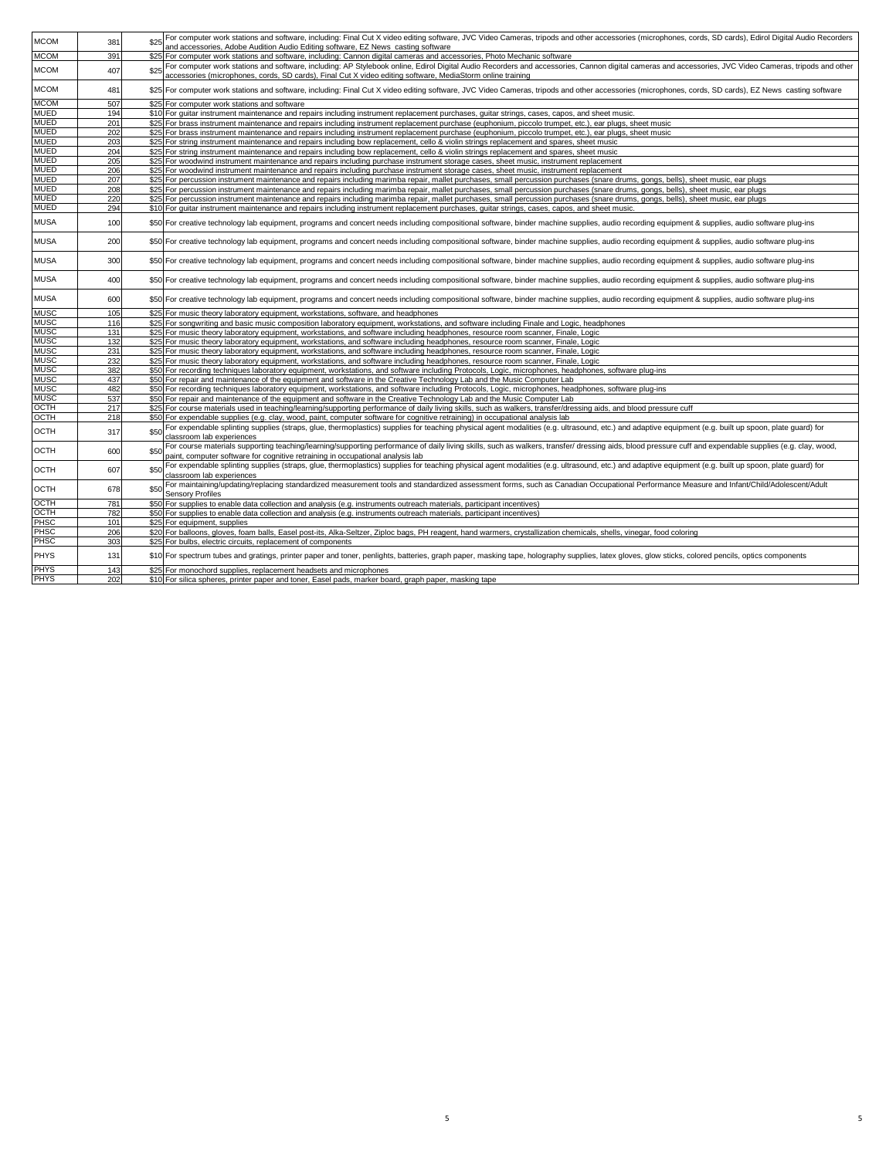| <b>MCOM</b> | 381 | \$25 | For computer work stations and software, including: Final Cut X video editing software, JVC Video Cameras, tripods and other accessories (microphones, cords, SD cards), Edirol Digital Audio Recorders<br>and accessories, Adobe Audition Audio Editing software, EZ News casting software |
|-------------|-----|------|---------------------------------------------------------------------------------------------------------------------------------------------------------------------------------------------------------------------------------------------------------------------------------------------|
| <b>MCOM</b> | 391 |      | \$25 For computer work stations and software, including: Cannon digital cameras and accessories, Photo Mechanic software                                                                                                                                                                    |
|             |     |      | For computer work stations and software, including: AP Stylebook online, Edirol Digital Audio Recorders and accessories, Cannon digital cameras and accessories, JVC Video Cameras, tripods and other                                                                                       |
| <b>MCOM</b> | 407 | \$25 | accessories (microphones, cords, SD cards), Final Cut X video editing software, MediaStorm online training                                                                                                                                                                                  |
| <b>MCOM</b> | 481 |      | \$25 For computer work stations and software, including: Final Cut X video editing software, JVC Video Cameras, tripods and other accessories (microphones, cords, SD cards), EZ News casting software                                                                                      |
| <b>MCOM</b> | 507 |      | \$25 For computer work stations and software                                                                                                                                                                                                                                                |
| <b>MUED</b> | 194 |      | \$10 For guitar instrument maintenance and repairs including instrument replacement purchases, guitar strings, cases, capos, and sheet music.                                                                                                                                               |
| MUED        | 201 |      | \$25 For brass instrument maintenance and repairs including instrument replacement purchase (euphonium, piccolo trumpet, etc.), ear plugs, sheet music                                                                                                                                      |
| <b>MUED</b> | 202 |      | \$25 For brass instrument maintenance and repairs including instrument replacement purchase (euphonium, piccolo trumpet, etc.), ear plugs, sheet music                                                                                                                                      |
| <b>MUED</b> | 203 |      | \$25 For string instrument maintenance and repairs including bow replacement, cello & violin strings replacement and spares, sheet music                                                                                                                                                    |
| <b>MUED</b> | 204 |      | \$25 For string instrument maintenance and repairs including bow replacement, cello & violin strings replacement and spares, sheet music                                                                                                                                                    |
| MUED        | 205 |      | \$25 For woodwind instrument maintenance and repairs including purchase instrument storage cases, sheet music, instrument replacement                                                                                                                                                       |
| <b>MUED</b> | 206 |      | \$25 For woodwind instrument maintenance and repairs including purchase instrument storage cases, sheet music, instrument replacement                                                                                                                                                       |
| <b>MUED</b> | 207 |      | \$25 For percussion instrument maintenance and repairs including marimba repair, mallet purchases, small percussion purchases (snare drums, gongs, bells), sheet music, ear plugs                                                                                                           |
| MUED        | 208 |      | \$25 For percussion instrument maintenance and repairs including marimba repair, mallet purchases, small percussion purchases (snare drums, gongs, bells), sheet music, ear plugs                                                                                                           |
| <b>MUED</b> | 220 |      | \$25 For percussion instrument maintenance and repairs including marimba repair, mallet purchases, small percussion purchases (snare drums, gongs, bells), sheet music, ear plugs                                                                                                           |
| <b>MUED</b> | 294 |      | \$10 For guitar instrument maintenance and repairs including instrument replacement purchases, guitar strings, cases, capos, and sheet music.                                                                                                                                               |
|             |     |      |                                                                                                                                                                                                                                                                                             |
| MUSA        | 100 |      | \$50 For creative technology lab equipment, programs and concert needs including compositional software, binder machine supplies, audio recording equipment & supplies, audio software plug-ins                                                                                             |
| <b>MUSA</b> | 200 |      | \$50 For creative technology lab equipment, programs and concert needs including compositional software, binder machine supplies, audio recording equipment & supplies, audio software plug-ins                                                                                             |
| <b>MUSA</b> | 300 |      | \$50 For creative technology lab equipment, programs and concert needs including compositional software, binder machine supplies, audio recording equipment & supplies, audio software plug-ins                                                                                             |
| <b>MUSA</b> | 400 |      | \$50 For creative technology lab equipment, programs and concert needs including compositional software, binder machine supplies, audio recording equipment & supplies, audio software plug-ins                                                                                             |
| MUSA        | 600 |      | \$50 For creative technology lab equipment, programs and concert needs including compositional software, binder machine supplies, audio recording equipment & supplies, audio software plug-ins                                                                                             |
| <b>MUSC</b> | 105 |      | \$25 For music theory laboratory equipment, workstations, software, and headphones                                                                                                                                                                                                          |
| <b>MUSC</b> | 116 |      | \$25 For songwriting and basic music composition laboratory equipment, workstations, and software including Finale and Logic, headphones                                                                                                                                                    |
| <b>MUSC</b> | 131 |      | \$25 For music theory laboratory equipment, workstations, and software including headphones, resource room scanner, Finale, Logic                                                                                                                                                           |
| <b>MUSC</b> | 132 |      | \$25 For music theory laboratory equipment, workstations, and software including headphones, resource room scanner, Finale, Logic                                                                                                                                                           |
| <b>MUSC</b> | 231 |      | \$25 For music theory laboratory equipment, workstations, and software including headphones, resource room scanner, Finale, Logic                                                                                                                                                           |
| <b>MUSC</b> | 232 |      | \$25 For music theory laboratory equipment, workstations, and software including headphones, resource room scanner, Finale, Logic                                                                                                                                                           |
| <b>MUSC</b> | 382 |      | \$50 For recording techniques laboratory equipment, workstations, and software including Protocols, Logic, microphones, headphones, software plug-ins                                                                                                                                       |
| <b>MUSC</b> | 437 |      | \$50 For repair and maintenance of the equipment and software in the Creative Technology Lab and the Music Computer Lab                                                                                                                                                                     |
| <b>MUSC</b> | 482 |      | \$50 For recording techniques laboratory equipment, workstations, and software including Protocols, Logic, microphones, headphones, software plug-ins                                                                                                                                       |
| <b>MUSC</b> | 537 |      | \$50 For repair and maintenance of the equipment and software in the Creative Technology Lab and the Music Computer Lab                                                                                                                                                                     |
| OCTH        | 217 |      | \$25 For course materials used in teaching/learning/supporting performance of daily living skills, such as walkers, transfer/dressing aids, and blood pressure cuff                                                                                                                         |
| OCTH        | 218 |      | \$50 For expendable supplies (e.g. clay, wood, paint, computer software for cognitive retraining) in occupational analysis lab                                                                                                                                                              |
| OCTH        | 317 | \$50 | For expendable splinting supplies (straps, glue, thermoplastics) supplies for teaching physical agent modalities (e.g. ultrasound, etc.) and adaptive equipment (e.g. built up spoon, plate guard) for                                                                                      |
|             |     |      | classroom lab experiences                                                                                                                                                                                                                                                                   |
| OCTH        | 600 | \$50 | For course materials supporting teaching/learning/supporting performance of daily living skills, such as walkers, transfer/ dressing aids, blood pressure cuff and expendable supplies (e.g. clay, wood,                                                                                    |
|             |     |      | paint, computer software for cognitive retraining in occupational analysis lab                                                                                                                                                                                                              |
| OCTH        | 607 | \$50 | For expendable splinting supplies (straps, glue, thermoplastics) supplies for teaching physical agent modalities (e.g. ultrasound, etc.) and adaptive equipment (e.g. built up spoon, plate guard) for                                                                                      |
|             |     |      | classroom lab experiences                                                                                                                                                                                                                                                                   |
| OCTH        | 678 | \$50 | For maintaining/updating/replacing standardized measurement tools and standardized assessment forms, such as Canadian Occupational Performance Measure and Infant/Child/Adolescent/Adult<br><b>Sensory Profiles</b>                                                                         |
| OCTH        | 781 |      | \$50 For supplies to enable data collection and analysis (e.g. instruments outreach materials, participant incentives)                                                                                                                                                                      |
| <b>OCTH</b> | 782 |      | \$50 For supplies to enable data collection and analysis (e.g. instruments outreach materials, participant incentives)                                                                                                                                                                      |
| PHSC        | 101 |      | \$25 For equipment, supplies                                                                                                                                                                                                                                                                |
| PHSC        | 206 |      | \$20 For balloons, gloves, foam balls, Easel post-its, Alka-Seltzer, Ziploc bags, PH reagent, hand warmers, crystallization chemicals, shells, vinegar, food coloring                                                                                                                       |
| PHSC        | 303 |      | \$25 For bulbs, electric circuits, replacement of components                                                                                                                                                                                                                                |
| PHYS        | 131 |      | \$10 For spectrum tubes and gratings, printer paper and toner, penlights, batteries, graph paper, masking tape, holography supplies, latex gloves, glow sticks, colored pencils, optics components                                                                                          |
|             |     |      |                                                                                                                                                                                                                                                                                             |
| PHYS        | 143 |      | \$25 For monochord supplies, replacement headsets and microphones                                                                                                                                                                                                                           |
| PHYS        | 202 |      | \$10 For silica spheres, printer paper and toner, Easel pads, marker board, graph paper, masking tape                                                                                                                                                                                       |